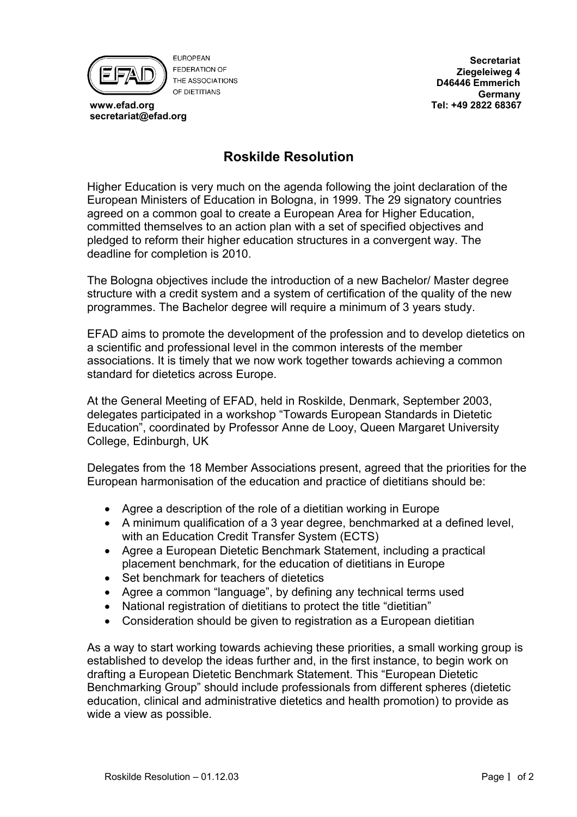

**EUROPEAN FEDERATION OF** THE ASSOCIATIONS OF DIFTITIANS

 **www.efad.org secretariat@efad.org**

**Secretariat Ziegeleiweg 4 D46446 Emmerich Germany Tel: +49 2822 68367**

## **Roskilde Resolution**

Higher Education is very much on the agenda following the joint declaration of the European Ministers of Education in Bologna, in 1999. The 29 signatory countries agreed on a common goal to create a European Area for Higher Education, committed themselves to an action plan with a set of specified objectives and pledged to reform their higher education structures in a convergent way. The deadline for completion is 2010.

The Bologna objectives include the introduction of a new Bachelor/ Master degree structure with a credit system and a system of certification of the quality of the new programmes. The Bachelor degree will require a minimum of 3 years study.

EFAD aims to promote the development of the profession and to develop dietetics on a scientific and professional level in the common interests of the member associations. It is timely that we now work together towards achieving a common standard for dietetics across Europe.

At the General Meeting of EFAD, held in Roskilde, Denmark, September 2003, delegates participated in a workshop "Towards European Standards in Dietetic Education", coordinated by Professor Anne de Looy, Queen Margaret University College, Edinburgh, UK

Delegates from the 18 Member Associations present, agreed that the priorities for the European harmonisation of the education and practice of dietitians should be:

- Agree a description of the role of a dietitian working in Europe
- A minimum qualification of a 3 year degree, benchmarked at a defined level, with an Education Credit Transfer System (ECTS)
- Agree a European Dietetic Benchmark Statement, including a practical placement benchmark, for the education of dietitians in Europe
- Set benchmark for teachers of dietetics
- Agree a common "language", by defining any technical terms used
- National registration of dietitians to protect the title "dietitian"
- Consideration should be given to registration as a European dietitian

As a way to start working towards achieving these priorities, a small working group is established to develop the ideas further and, in the first instance, to begin work on drafting a European Dietetic Benchmark Statement. This "European Dietetic Benchmarking Group" should include professionals from different spheres (dietetic education, clinical and administrative dietetics and health promotion) to provide as wide a view as possible.